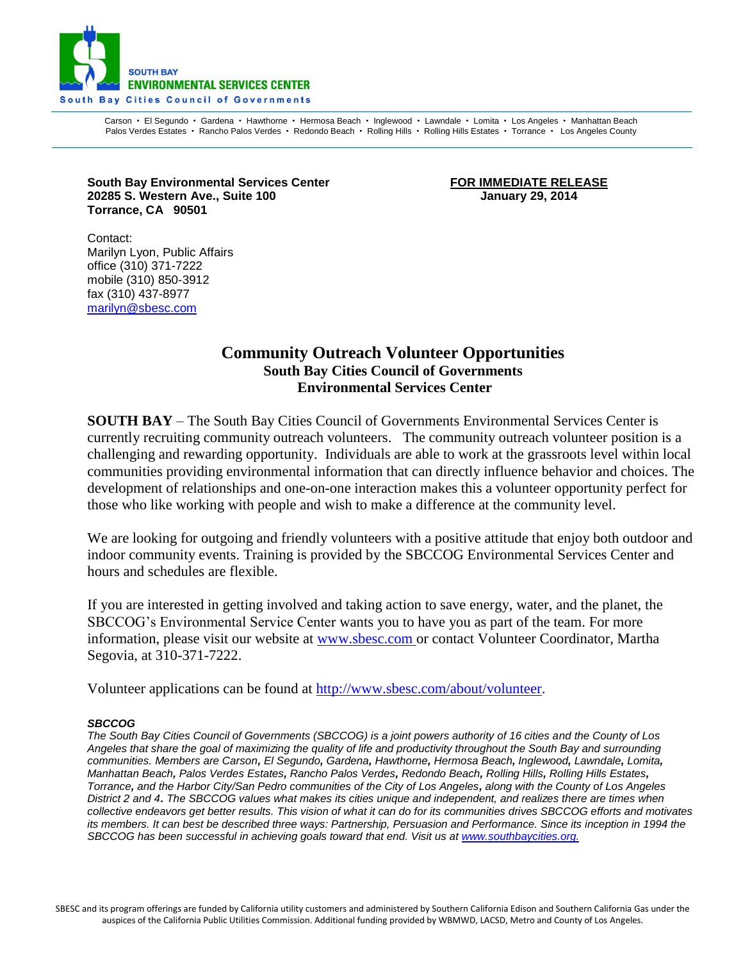

Carson · El Segundo · Gardena · Hawthorne · Hermosa Beach · Inglewood · Lawndale · Lomita · Los Angeles · Manhattan Beach Palos Verdes Estates · Rancho Palos Verdes · Redondo Beach · Rolling Hills · Rolling Hills Estates · Torrance · Los Angeles County

South Bay Environmental Services Center **FOR IMMEDIATE RELEASE 20285 S. Western Ave., Suite 100 January 29, 2014 Torrance, CA 90501**

Contact: Marilyn Lyon, Public Affairs office (310) 371-7222 mobile (310) 850-3912 fax (310) 437-8977 [marilyn@sbesc.com](mailto:marilyn@sbesc.com)

## **Community Outreach Volunteer Opportunities South Bay Cities Council of Governments Environmental Services Center**

**SOUTH BAY** – The South Bay Cities Council of Governments Environmental Services Center is currently recruiting community outreach volunteers. The community outreach volunteer position is a challenging and rewarding opportunity. Individuals are able to work at the grassroots level within local communities providing environmental information that can directly influence behavior and choices. The development of relationships and one-on-one interaction makes this a volunteer opportunity perfect for those who like working with people and wish to make a difference at the community level.

We are looking for outgoing and friendly volunteers with a positive attitude that enjoy both outdoor and indoor community events. Training is provided by the SBCCOG Environmental Services Center and hours and schedules are flexible.

If you are interested in getting involved and taking action to save energy, water, and the planet, the SBCCOG's Environmental Service Center wants you to have you as part of the team. For more information, please visit our website at [www.sbesc.com o](http://www.sbesc.com/)r contact Volunteer Coordinator, Martha Segovia, at 310-371-7222.

Volunteer applications can be found at [http://www.sbesc.com/about/volunteer.](http://www.sbesc.com/about/volunteer)

## *SBCCOG*

The South Bay Cities Council of Governments (SBCCOG) is a joint powers authority of 16 cities and the County of Los Angeles that share the goal of maximizing the quality of life and productivity throughout the South Bay and surrounding communities. Members are Carson, El Segundo, Gardena, Hawthorne, Hermosa Beach, Inglewood, Lawndale, Lomita, Manhattan Beach, Palos Verdes Estates, Rancho Palos Verdes, Redondo Beach, Rolling Hills, Rolling Hills Estates, Torrance, and the Harbor City/San Pedro communities of the City of Los Angeles, along with the County of Los Angeles District 2 and 4. The SBCCOG values what makes its cities unique and independent, and realizes there are times when collective endeavors get better results. This vision of what it can do for its communities drives SBCCOG efforts and motivates its members. It can best be described three ways: Partnership, Persuasion and Performance. Since its inception in 1994 the *SBCCOG has been successful in achieving goals toward that end. Visit us at [www.southbaycities.org.](http://www.southbaycities.org/)*